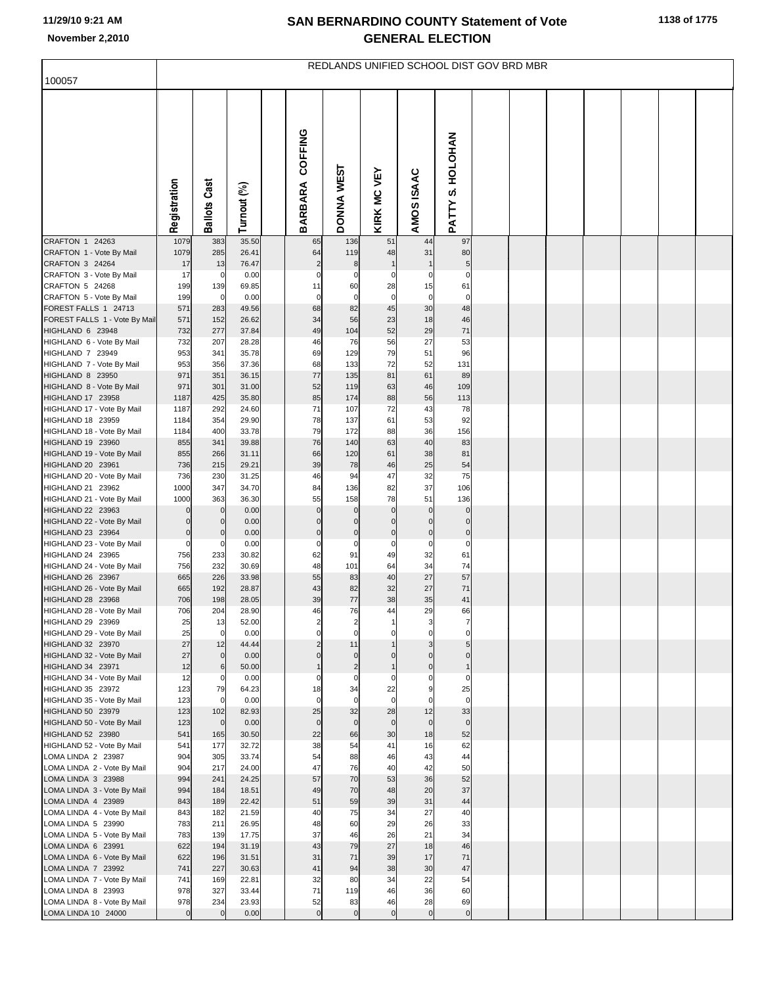|                                                   | REDLANDS UNIFIED SCHOOL DIST GOV BRD MBR |                            |                |  |                              |                               |                      |                |                         |  |  |  |  |  |  |  |
|---------------------------------------------------|------------------------------------------|----------------------------|----------------|--|------------------------------|-------------------------------|----------------------|----------------|-------------------------|--|--|--|--|--|--|--|
| 100057                                            |                                          |                            |                |  |                              |                               |                      |                |                         |  |  |  |  |  |  |  |
|                                                   | Registration                             | <b>Ballots Cast</b>        | Turnout (%)    |  | COFFING<br><b>BARBARA</b>    | DONNA WEST                    | <b>KIRK MC VEY</b>   | AMOS ISAAC     | PATTY S. HOLOHAN        |  |  |  |  |  |  |  |
| CRAFTON 1 24263                                   | 1079                                     | 383                        | 35.50          |  | 65                           | 136                           | 51                   | 44             | 97                      |  |  |  |  |  |  |  |
| CRAFTON 1 - Vote By Mail<br>CRAFTON 3 24264       | 1079<br>17                               | 285<br>13                  | 26.41<br>76.47 |  | 64<br>$\overline{c}$         | 119<br>8                      | 48                   | 31             | 80<br>5                 |  |  |  |  |  |  |  |
| CRAFTON 3 - Vote By Mail                          | 17                                       | 0                          | 0.00           |  | $\mathsf{C}$                 | 0                             | 0                    | C              | $\Omega$                |  |  |  |  |  |  |  |
| CRAFTON 5 24268                                   | 199                                      | 139                        | 69.85          |  | 11                           | 60                            | 28                   | 15             | 61                      |  |  |  |  |  |  |  |
| CRAFTON 5 - Vote By Mail                          | 199                                      | $\overline{0}$             | 0.00           |  | $\mathbf 0$                  | $\mathbf 0$                   | $\mathbf 0$          | $\mathbf 0$    | $\mathbf 0$             |  |  |  |  |  |  |  |
| FOREST FALLS 1 24713                              | 571                                      | 283                        | 49.56          |  | 68                           | 82                            | 45                   | 30             | 48                      |  |  |  |  |  |  |  |
| FOREST FALLS 1 - Vote By Mail<br>HIGHLAND 6 23948 | 571<br>732                               | 152<br>277                 | 26.62<br>37.84 |  | 34<br>49                     | 56<br>104                     | 23<br>52             | 18<br>29       | 46<br>71                |  |  |  |  |  |  |  |
| HIGHLAND 6 - Vote By Mail                         | 732                                      | 207                        | 28.28          |  | 46                           | 76                            | 56                   | 27             | 53                      |  |  |  |  |  |  |  |
| HIGHLAND 7 23949                                  | 953                                      | 341                        | 35.78          |  | 69                           | 129                           | 79                   | 51             | 96                      |  |  |  |  |  |  |  |
| HIGHLAND 7 - Vote By Mail                         | 953                                      | 356                        | 37.36          |  | 68                           | 133                           | 72                   | 52             | 131                     |  |  |  |  |  |  |  |
| HIGHLAND 8 23950                                  | 971                                      | 351                        | 36.15          |  | 77                           | 135                           | 81                   | 61             | 89                      |  |  |  |  |  |  |  |
| HIGHLAND 8 - Vote By Mail<br>HIGHLAND 17 23958    | 971<br>1187                              | 301<br>425                 | 31.00<br>35.80 |  | 52<br>85                     | 119<br>174                    | 63<br>88             | 46<br>56       | 109<br>113              |  |  |  |  |  |  |  |
| HIGHLAND 17 - Vote By Mail                        | 1187                                     | 292                        | 24.60          |  | 71                           | 107                           | 72                   | 43             | 78                      |  |  |  |  |  |  |  |
| HIGHLAND 18 23959                                 | 1184                                     | 354                        | 29.90          |  | 78                           | 137                           | 61                   | 53             | 92                      |  |  |  |  |  |  |  |
| HIGHLAND 18 - Vote By Mail                        | 1184                                     | 400                        | 33.78          |  | 79                           | 172                           | 88                   | 36             | 156                     |  |  |  |  |  |  |  |
| HIGHLAND 19 23960                                 | 855                                      | 341                        | 39.88          |  | 76                           | 140                           | 63                   | 40             | 83                      |  |  |  |  |  |  |  |
| HIGHLAND 19 - Vote By Mail<br>HIGHLAND 20 23961   | 855<br>736                               | 266<br>215                 | 31.11<br>29.21 |  | 66<br>39                     | 120<br>78                     | 61<br>46             | 38<br>25       | 81<br>54                |  |  |  |  |  |  |  |
| HIGHLAND 20 - Vote By Mail                        | 736                                      | 230                        | 31.25          |  | 46                           | 94                            | 47                   | 32             | 75                      |  |  |  |  |  |  |  |
| HIGHLAND 21 23962                                 | 1000                                     | 347                        | 34.70          |  | 84                           | 136                           | 82                   | 37             | 106                     |  |  |  |  |  |  |  |
| HIGHLAND 21 - Vote By Mail                        | 1000                                     | 363                        | 36.30          |  | 55                           | 158                           | 78                   | 51             | 136                     |  |  |  |  |  |  |  |
| HIGHLAND 22 23963<br>HIGHLAND 22 - Vote By Mail   | $\overline{0}$<br>$\overline{0}$         | $\mathbf 0$<br>$\mathbf 0$ | 0.00<br>0.00   |  | $\mathbf 0$<br>$\mathcal{C}$ | $\mathbf 0$<br>$\mathbf 0$    | $\Omega$<br>$\Omega$ | $\mathcal{C}$  | $\mathbf 0$<br>$\Omega$ |  |  |  |  |  |  |  |
| HIGHLAND 23 23964                                 | $\mathbf 0$                              | $\mathbf 0$                | 0.00           |  | $\mathbf 0$                  | $\mathbf 0$                   | $\mathbf 0$          | $\mathsf{C}$   | $\mathbf 0$             |  |  |  |  |  |  |  |
| HIGHLAND 23 - Vote By Mail                        | $\overline{0}$                           | 0                          | 0.00           |  | C                            | $\mathbf 0$                   | $\mathbf 0$          | C              | $\mathbf 0$             |  |  |  |  |  |  |  |
| HIGHLAND 24 23965                                 | 756                                      | 233                        | 30.82          |  | 62                           | 91                            | 49                   | 32             | 61                      |  |  |  |  |  |  |  |
| HIGHLAND 24 - Vote By Mail<br>HIGHLAND 26 23967   | 756<br>665                               | 232<br>226                 | 30.69<br>33.98 |  | 48<br>55                     | 101<br>83                     | 64<br>40             | 34<br>27       | 74<br>57                |  |  |  |  |  |  |  |
| HIGHLAND 26 - Vote By Mail                        | 665                                      | 192                        | 28.87          |  | 43                           | 82                            | 32                   | 27             | 71                      |  |  |  |  |  |  |  |
| HIGHLAND 28 23968                                 | 706                                      | 198                        | 28.05          |  | 39                           | 77                            | 38                   | 35             | 41                      |  |  |  |  |  |  |  |
| HIGHLAND 28 - Vote By Mail                        | 706                                      | 204                        | 28.90          |  | 46                           | 76                            | 44                   | 29             | 66                      |  |  |  |  |  |  |  |
| HIGHLAND 29 23969<br>HIGHLAND 29 - Vote By Mail   | 25<br>25                                 | 13<br>$\circ$              | 52.00<br>0.00  |  | $\mathbf 0$                  | $\overline{a}$<br>$\mathbf 0$ |                      | C              | $\Omega$                |  |  |  |  |  |  |  |
| HIGHLAND 32 23970                                 | 27                                       | 12                         | 44.44          |  |                              | 11                            | 0                    |                |                         |  |  |  |  |  |  |  |
| HIGHLAND 32 - Vote By Mail                        | 27                                       | $\overline{0}$             | 0.00           |  | $\mathcal{C}$                | $\mathbf 0$                   |                      | C              |                         |  |  |  |  |  |  |  |
| HIGHLAND 34 23971                                 | 12                                       | 6                          | 50.00          |  |                              | $\overline{2}$                |                      | $\mathsf{C}$   |                         |  |  |  |  |  |  |  |
| HIGHLAND 34 - Vote By Mail                        | 12                                       | $\overline{0}$             | 0.00           |  | C                            | $\mathbf 0$                   | $\Omega$             | C              | $\Omega$                |  |  |  |  |  |  |  |
| HIGHLAND 35 23972<br>HIGHLAND 35 - Vote By Mail   | 123<br>123                               | 79<br>$\overline{0}$       | 64.23<br>0.00  |  | 18<br>$\mathbf 0$            | 34<br>$\mathbf 0$             | 22<br>$\mathbf 0$    | ç<br>C         | 25<br>$\mathbf 0$       |  |  |  |  |  |  |  |
| HIGHLAND 50 23979                                 | 123                                      | 102                        | 82.93          |  | 25                           | 32                            | 28                   | 12             | 33                      |  |  |  |  |  |  |  |
| HIGHLAND 50 - Vote By Mail                        | 123                                      | $\circ$                    | 0.00           |  | $\mathbf 0$                  | $\mathbf 0$                   | $\mathbf 0$          | $\overline{0}$ | $\mathbf 0$             |  |  |  |  |  |  |  |
| HIGHLAND 52 23980                                 | 541                                      | 165                        | 30.50          |  | 22                           | 66                            | 30                   | 18             | 52                      |  |  |  |  |  |  |  |
| HIGHLAND 52 - Vote By Mail<br>LOMA LINDA 2 23987  | 541<br>904                               | 177<br>305                 | 32.72<br>33.74 |  | 38<br>54                     | 54<br>88                      | 41<br>46             | 16<br>43       | 62<br>44                |  |  |  |  |  |  |  |
| LOMA LINDA 2 - Vote By Mail                       | 904                                      | 217                        | 24.00          |  | 47                           | 76                            | 40                   | 42             | 50                      |  |  |  |  |  |  |  |
| LOMA LINDA 3 23988                                | 994                                      | 241                        | 24.25          |  | 57                           | 70                            | 53                   | 36             | 52                      |  |  |  |  |  |  |  |
| LOMA LINDA 3 - Vote By Mail                       | 994                                      | 184                        | 18.51          |  | 49                           | 70                            | 48                   | 20             | 37                      |  |  |  |  |  |  |  |
| LOMA LINDA 4 23989                                | 843                                      | 189                        | 22.42          |  | 51                           | 59                            | 39                   | 31             | 44                      |  |  |  |  |  |  |  |
| LOMA LINDA 4 - Vote By Mail<br>LOMA LINDA 5 23990 | 843<br>783                               | 182<br>211                 | 21.59<br>26.95 |  | 40<br>48                     | 75<br>60                      | 34<br>29             | 27<br>26       | 40<br>33                |  |  |  |  |  |  |  |
| LOMA LINDA 5 - Vote By Mail                       | 783                                      | 139                        | 17.75          |  | 37                           | 46                            | 26                   | 21             | 34                      |  |  |  |  |  |  |  |
| LOMA LINDA 6 23991                                | 622                                      | 194                        | 31.19          |  | 43                           | 79                            | 27                   | 18             | 46                      |  |  |  |  |  |  |  |
| LOMA LINDA 6 - Vote By Mail                       | 622                                      | 196                        | 31.51          |  | 31                           | 71                            | 39                   | 17             | 71                      |  |  |  |  |  |  |  |
| LOMA LINDA 7 23992                                | 741<br>741                               | 227                        | 30.63<br>22.81 |  | 41<br>32                     | 94<br>80                      | 38<br>34             | 30<br>22       | 47<br>54                |  |  |  |  |  |  |  |
| LOMA LINDA 7 - Vote By Mail<br>LOMA LINDA 8 23993 | 978                                      | 169<br>327                 | 33.44          |  | 71                           | 119                           | 46                   | 36             | 60                      |  |  |  |  |  |  |  |
| LOMA LINDA 8 - Vote By Mail                       | 978                                      | 234                        | 23.93          |  | 52                           | 83                            | 46                   | 28             | 69                      |  |  |  |  |  |  |  |
| LOMA LINDA 10 24000                               | $\mathbf 0$                              | $\overline{0}$             | 0.00           |  | $\mathbf 0$                  | $\mathbf 0$                   | $\mathbf 0$          | $\mathbf 0$    | $\overline{0}$          |  |  |  |  |  |  |  |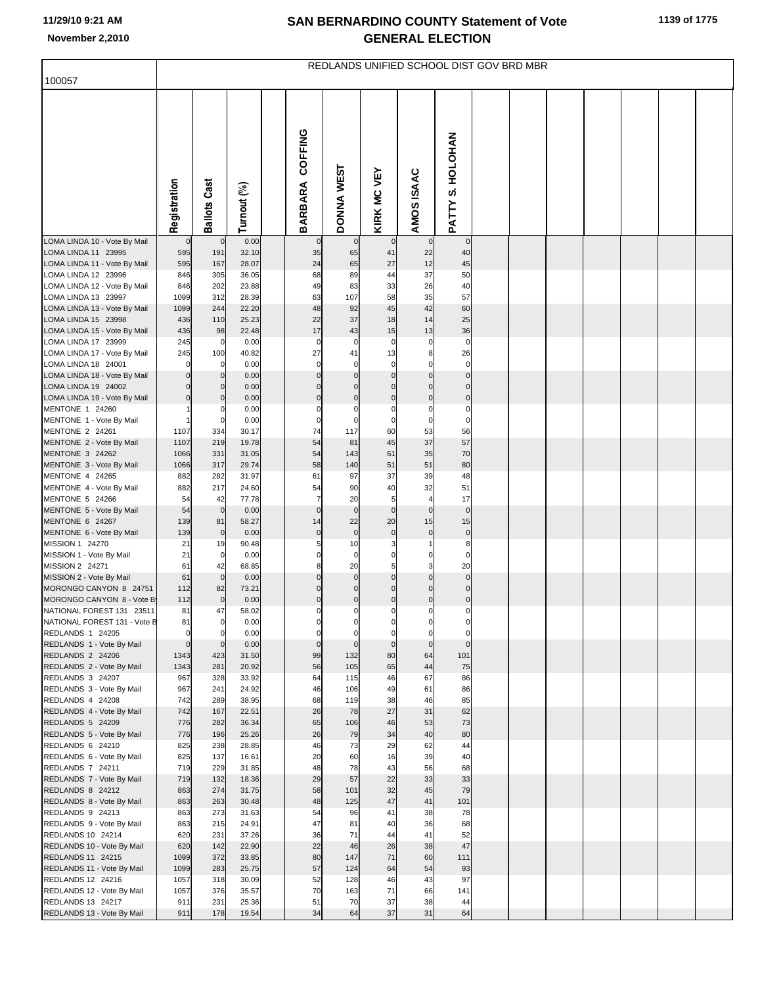| 100057                                                    | REDLANDS UNIFIED SCHOOL DIST GOV BRD MBR |                     |                |  |                            |                            |                               |                            |                                  |  |  |  |  |  |  |  |
|-----------------------------------------------------------|------------------------------------------|---------------------|----------------|--|----------------------------|----------------------------|-------------------------------|----------------------------|----------------------------------|--|--|--|--|--|--|--|
|                                                           |                                          |                     |                |  |                            |                            |                               |                            |                                  |  |  |  |  |  |  |  |
|                                                           | Registration                             | <b>Ballots Cast</b> | Turnout (%)    |  | COFFING<br><b>BARBARA</b>  | DONNA WEST                 | <b>KIRK MC VEY</b>            | AMOS ISAAC                 | S. HOLOHAN<br>PATTY              |  |  |  |  |  |  |  |
| LOMA LINDA 10 - Vote By Mail<br>LOMA LINDA 11 23995       | $\overline{0}$<br>595                    | $\mathbf 0$<br>191  | 0.00<br>32.10  |  | $\mathbf 0$<br>35          | $\mathbf 0$<br>65          | 41                            | $\mathbf 0$<br>22          | $\overline{0}$<br>40             |  |  |  |  |  |  |  |
| LOMA LINDA 11 - Vote By Mail                              | 595                                      | 167                 | 28.07          |  | 24                         | 65                         | 27                            | 12                         | 45                               |  |  |  |  |  |  |  |
| LOMA LINDA 12 23996                                       | 846                                      | 305                 | 36.05          |  | 68                         | 89                         | 44                            | 37                         | 50                               |  |  |  |  |  |  |  |
| LOMA LINDA 12 - Vote By Mail<br>LOMA LINDA 13 23997       | 846<br>1099                              | 202<br>312          | 23.88<br>28.39 |  | 49<br>63                   | 83<br>107                  | 33<br>58                      | 26<br>35                   | 40<br>57                         |  |  |  |  |  |  |  |
| LOMA LINDA 13 - Vote By Mail                              | 1099                                     | 244                 | 22.20          |  | 48                         | 92                         | 45                            | 42                         | 60                               |  |  |  |  |  |  |  |
| LOMA LINDA 15 23998<br>LOMA LINDA 15 - Vote By Mail       | 436<br>436                               | 110<br>98           | 25.23<br>22.48 |  | 22<br>17                   | 37<br>43                   | 18<br>15                      | 14<br>13                   | 25<br>36                         |  |  |  |  |  |  |  |
| LOMA LINDA 17 23999                                       | 245                                      | 0                   | 0.00           |  | $\mathbf 0$                | $\mathbf 0$                | $\mathbf 0$                   | $\mathbf 0$                | $\mathbf 0$                      |  |  |  |  |  |  |  |
| LOMA LINDA 17 - Vote By Mail                              | 245                                      | 100                 | 40.82          |  | 27                         | 41                         | 13                            | 8                          | 26                               |  |  |  |  |  |  |  |
| LOMA LINDA 18 24001<br>LOMA LINDA 18 - Vote By Mail       | $\mathbf 0$<br>$\mathbf 0$               | 0<br>$\mathbf 0$    | 0.00<br>0.00   |  | $\mathbf 0$<br>$\mathbf 0$ | $\mathbf 0$<br>$\mathbf 0$ | $\overline{0}$<br>$\mathbf 0$ | $\Omega$<br>$\mathbf 0$    | $\overline{0}$<br>$\overline{0}$ |  |  |  |  |  |  |  |
| LOMA LINDA 19 24002                                       | $\mathbf 0$                              | $\mathbf 0$         | 0.00           |  | 0                          | $\Omega$                   | $\Omega$                      | $\mathbf 0$                | $\overline{0}$                   |  |  |  |  |  |  |  |
| LOMA LINDA 19 - Vote By Mail                              | $\mathbf 0$                              | $\mathbf 0$         | 0.00           |  | $\mathbf 0$                | $\mathbf 0$                | $\mathbf 0$                   | $\mathbf 0$                | $\overline{0}$                   |  |  |  |  |  |  |  |
| MENTONE 1 24260<br>MENTONE 1 - Vote By Mail               |                                          | 0                   | 0.00<br>0.00   |  | $\mathbf 0$<br>$\mathbf 0$ | $\mathbf 0$<br>$\mathbf 0$ | 0<br>0                        | $\mathbf 0$<br>$\mathbf 0$ | $\mathbf 0$<br>$\mathbf 0$       |  |  |  |  |  |  |  |
| MENTONE 2 24261                                           | 1107                                     | 334                 | 30.17          |  | 74                         | 117                        | 60                            | 53                         | 56                               |  |  |  |  |  |  |  |
| MENTONE 2 - Vote By Mail<br>MENTONE 3 24262               | 1107<br>1066                             | 219<br>331          | 19.78<br>31.05 |  | 54<br>54                   | 81<br>143                  | 45<br>61                      | 37<br>35                   | 57<br>70                         |  |  |  |  |  |  |  |
| MENTONE 3 - Vote By Mail                                  | 1066                                     | 317                 | 29.74          |  | 58                         | 140                        | 51                            | 51                         | 80                               |  |  |  |  |  |  |  |
| MENTONE 4 24265                                           | 882                                      | 282                 | 31.97          |  | 61                         | 97                         | 37                            | 39                         | 48                               |  |  |  |  |  |  |  |
| MENTONE 4 - Vote By Mail<br>MENTONE 5 24266               | 882<br>54                                | 217<br>42           | 24.60<br>77.78 |  | 54<br>$\overline{7}$       | 90<br>20                   | 40<br>5                       | 32<br>$\overline{4}$       | 51<br>17                         |  |  |  |  |  |  |  |
| MENTONE 5 - Vote By Mail                                  | 54                                       | $\mathbf 0$         | 0.00           |  | $\mathbf 0$                | $\pmb{0}$                  | $\mathbf 0$                   | $\mathbf 0$                | $\overline{0}$                   |  |  |  |  |  |  |  |
| MENTONE 6 24267                                           | 139<br>139                               | 81                  | 58.27          |  | 14                         | 22<br>$\pmb{0}$            | 20<br>$\mathbf 0$             | 15<br>$\mathbf 0$          | 15<br>$\overline{0}$             |  |  |  |  |  |  |  |
| MENTONE 6 - Vote By Mail<br>MISSION 1 24270               | 21                                       | $\mathbf 0$<br>19   | 0.00<br>90.48  |  | $\pmb{0}$<br>5             | 10                         | 3                             |                            | 8                                |  |  |  |  |  |  |  |
| MISSION 1 - Vote By Mail                                  | 21                                       | $\mathbf 0$         | 0.00           |  | 0                          | $\mathbf 0$                | 0                             | 0                          | 0                                |  |  |  |  |  |  |  |
| MISSION 2 24271<br>MISSION 2 - Vote By Mail               | 61<br>61                                 | 42<br>$\mathbf 0$   | 68.85<br>0.00  |  | 8<br>0                     | 20<br>$\mathbf 0$          | 5<br>$\mathbf 0$              | 3<br>$\mathbf 0$           | 20<br>$\overline{0}$             |  |  |  |  |  |  |  |
| MORONGO CANYON 8 24751                                    | 112                                      | 82                  | 73.21          |  | $\mathbf 0$                | $\mathbf 0$                | $\Omega$                      | $\Omega$                   | $\overline{0}$                   |  |  |  |  |  |  |  |
| MORONGO CANYON 8 - Vote B                                 | 112                                      | $\mathbf 0$         | 0.00           |  | $\mathbf 0$<br>$\Omega$    | $\mathbf 0$<br>$\Omega$    | $\mathbf 0$<br>$\Omega$       | $\mathbf 0$<br>$\Omega$    | $\overline{0}$<br>0              |  |  |  |  |  |  |  |
| NATIONAL FOREST 131 23511<br>NATIONAL FOREST 131 - Vote B | 81<br>81                                 | 47                  | 58.02<br>0.00  |  |                            |                            |                               | 0                          | 0                                |  |  |  |  |  |  |  |
| REDLANDS 1 24205                                          | $\mathbf 0$                              | $\Omega$            | 0.00           |  | $\Omega$                   | $\mathbf 0$                | $\mathbf 0$                   | $\mathbf 0$                | $\mathbf 0$                      |  |  |  |  |  |  |  |
| REDLANDS 1 - Vote By Mail<br>REDLANDS 2 24206             | $\mathbf 0$<br>1343                      | $\mathbf 0$<br>423  | 0.00<br>31.50  |  | $\mathbf 0$<br>99          | $\overline{0}$<br>132      | $\mathbf 0$<br>80             | $\mathbf 0$<br>64          | $\overline{0}$<br>101            |  |  |  |  |  |  |  |
| REDLANDS 2 - Vote By Mail                                 | 1343                                     | 281                 | 20.92          |  | 56                         | 105                        | 65                            | 44                         | 75                               |  |  |  |  |  |  |  |
| REDLANDS 3 24207<br>REDLANDS 3 - Vote By Mail             | 967<br>967                               | 328<br>241          | 33.92<br>24.92 |  | 64<br>46                   | 115<br>106                 | 46<br>49                      | 67<br>61                   | 86<br>86                         |  |  |  |  |  |  |  |
| REDLANDS 4 24208                                          | 742                                      | 289                 | 38.95          |  | 68                         | 119                        | 38                            | 46                         | 85                               |  |  |  |  |  |  |  |
| REDLANDS 4 - Vote By Mail                                 | 742                                      | 167                 | 22.51          |  | 26                         | 78                         | 27                            | 31                         | 62                               |  |  |  |  |  |  |  |
| REDLANDS 5 24209<br>REDLANDS 5 - Vote By Mail             | 776<br>776                               | 282<br>196          | 36.34<br>25.26 |  | 65<br>26                   | 106<br>79                  | 46<br>34                      | 53<br>40                   | 73<br>80                         |  |  |  |  |  |  |  |
| REDLANDS 6 24210                                          | 825                                      | 238                 | 28.85          |  | 46                         | 73                         | 29                            | 62                         | 44                               |  |  |  |  |  |  |  |
| REDLANDS 6 - Vote By Mail<br>REDLANDS 7 24211             | 825<br>719                               | 137                 | 16.61<br>31.85 |  | 20<br>48                   | 60<br>78                   | 16<br>43                      | 39<br>56                   | 40<br>68                         |  |  |  |  |  |  |  |
| REDLANDS 7 - Vote By Mail                                 | 719                                      | 229<br>132          | 18.36          |  | 29                         | 57                         | 22                            | 33                         | 33                               |  |  |  |  |  |  |  |
| REDLANDS 8 24212                                          | 863                                      | 274                 | 31.75          |  | 58                         | 101                        | 32                            | 45                         | 79                               |  |  |  |  |  |  |  |
| REDLANDS 8 - Vote By Mail<br>REDLANDS 9 24213             | 863<br>863                               | 263<br>273          | 30.48<br>31.63 |  | 48<br>54                   | 125<br>96                  | 47<br>41                      | 41<br>38                   | 101<br>78                        |  |  |  |  |  |  |  |
| REDLANDS 9 - Vote By Mail                                 | 863                                      | 215                 | 24.91          |  | 47                         | 81                         | 40                            | 36                         | 68                               |  |  |  |  |  |  |  |
| REDLANDS 10 24214                                         | 620                                      | 231                 | 37.26          |  | 36                         | 71                         | 44                            | 41                         | 52                               |  |  |  |  |  |  |  |
| REDLANDS 10 - Vote By Mail<br>REDLANDS 11 24215           | 620<br>1099                              | 142<br>372          | 22.90<br>33.85 |  | 22<br>80                   | 46<br>147                  | 26<br>71                      | 38<br>60                   | 47<br>111                        |  |  |  |  |  |  |  |
| REDLANDS 11 - Vote By Mail                                | 1099                                     | 283                 | 25.75          |  | 57                         | 124                        | 64                            | 54                         | 93                               |  |  |  |  |  |  |  |
| REDLANDS 12 24216                                         | 1057<br>1057                             | 318<br>376          | 30.09          |  | 52<br>70                   | 128<br>163                 | 46<br>71                      | 43<br>66                   | 97<br>141                        |  |  |  |  |  |  |  |
| REDLANDS 12 - Vote By Mail<br>REDLANDS 13 24217           | 911                                      | 231                 | 35.57<br>25.36 |  | 51                         | 70                         | 37                            | 38                         | 44                               |  |  |  |  |  |  |  |
| REDLANDS 13 - Vote By Mail                                | 911                                      | 178                 | 19.54          |  | 34                         | 64                         | 37                            | 31                         | 64                               |  |  |  |  |  |  |  |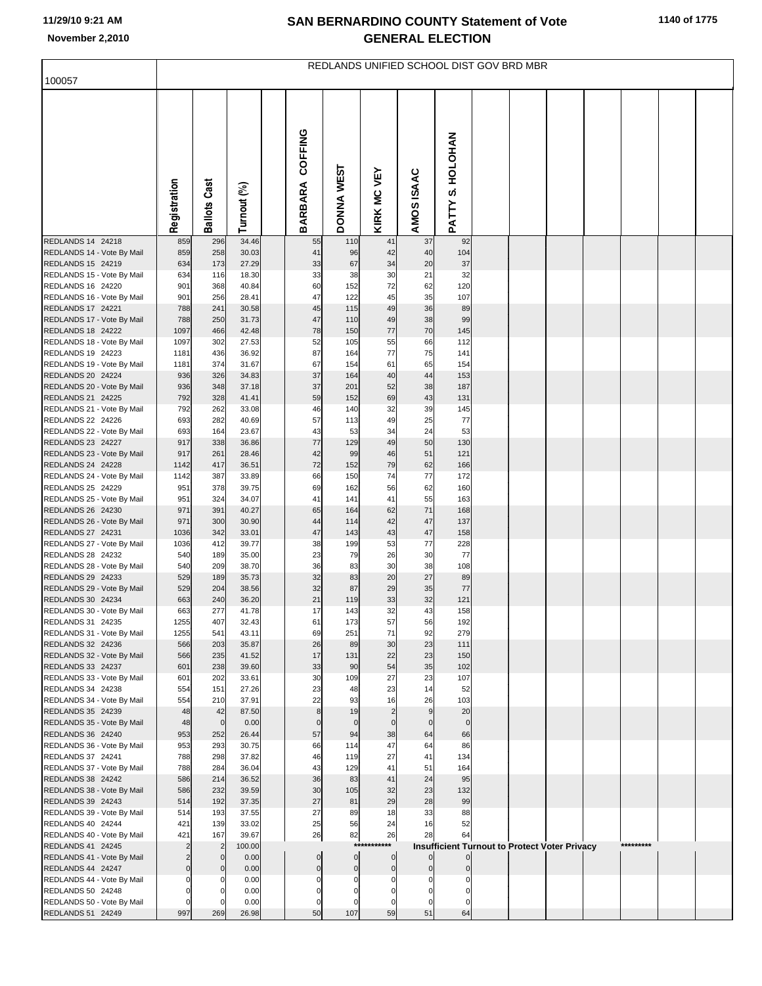|                                                 | REDLANDS UNIFIED SCHOOL DIST GOV BRD MBR |                     |                |  |                    |                           |                      |                      |                                                      |  |  |  |  |           |  |  |
|-------------------------------------------------|------------------------------------------|---------------------|----------------|--|--------------------|---------------------------|----------------------|----------------------|------------------------------------------------------|--|--|--|--|-----------|--|--|
| 100057                                          |                                          |                     |                |  |                    |                           |                      |                      |                                                      |  |  |  |  |           |  |  |
|                                                 | Registration                             | <b>Ballots Cast</b> | Turnout (%)    |  | COFFING<br>BARBARA | DONNA WEST                | <b>KIRK MC VEY</b>   | AMOS ISAAC           | S. HOLOHAN<br>PATTY.                                 |  |  |  |  |           |  |  |
| REDLANDS 14 24218                               | 859                                      | 296                 | 34.46          |  | 55                 | 110                       | 41                   | 37                   | 92                                                   |  |  |  |  |           |  |  |
| REDLANDS 14 - Vote By Mail<br>REDLANDS 15 24219 | 859<br>634                               | 258<br>173          | 30.03<br>27.29 |  | 41<br>33           | 96<br>67                  | 42<br>34             | 40<br>20             | 104<br>37                                            |  |  |  |  |           |  |  |
| REDLANDS 15 - Vote By Mail                      | 634                                      | 116                 | 18.30          |  | 33                 | 38                        | 30                   | 21                   | 32                                                   |  |  |  |  |           |  |  |
| REDLANDS 16 24220                               | 901                                      | 368                 | 40.84          |  | 60                 | 152                       | 72                   | 62                   | 120                                                  |  |  |  |  |           |  |  |
| REDLANDS 16 - Vote By Mail                      | 901                                      | 256                 | 28.41          |  | 47                 | 122                       | 45                   | 35                   | 107                                                  |  |  |  |  |           |  |  |
| REDLANDS 17 24221                               | 788                                      | 241                 | 30.58          |  | 45                 | 115                       | 49                   | 36                   | 89                                                   |  |  |  |  |           |  |  |
| REDLANDS 17 - Vote By Mail<br>REDLANDS 18 24222 | 788<br>1097                              | 250<br>466          | 31.73<br>42.48 |  | 47<br>78           | 110<br>150                | 49<br>77             | 38<br>70             | 99<br>145                                            |  |  |  |  |           |  |  |
| REDLANDS 18 - Vote By Mail                      | 1097                                     | 302                 | 27.53          |  | 52                 | 105                       | 55                   | 66                   | 112                                                  |  |  |  |  |           |  |  |
| REDLANDS 19 24223                               | 1181                                     | 436                 | 36.92          |  | 87                 | 164                       | 77                   | 75                   | 141                                                  |  |  |  |  |           |  |  |
| REDLANDS 19 - Vote By Mail                      | 1181                                     | 374                 | 31.67          |  | 67                 | 154                       | 61                   | 65                   | 154                                                  |  |  |  |  |           |  |  |
| REDLANDS 20 24224                               | 936                                      | 326                 | 34.83          |  | 37<br>37           | 164                       | 40                   | 44                   | 153                                                  |  |  |  |  |           |  |  |
| REDLANDS 20 - Vote By Mail<br>REDLANDS 21 24225 | 936<br>792                               | 348<br>328          | 37.18<br>41.41 |  | 59                 | 201<br>152                | 52<br>69             | 38<br>43             | 187<br>131                                           |  |  |  |  |           |  |  |
| REDLANDS 21 - Vote By Mail                      | 792                                      | 262                 | 33.08          |  | 46                 | 140                       | 32                   | 39                   | 145                                                  |  |  |  |  |           |  |  |
| REDLANDS 22 24226                               | 693                                      | 282                 | 40.69          |  | 57                 | 113                       | 49                   | 25                   | 77                                                   |  |  |  |  |           |  |  |
| REDLANDS 22 - Vote By Mail                      | 693                                      | 164                 | 23.67          |  | 43                 | 53                        | 34                   | 24                   | 53                                                   |  |  |  |  |           |  |  |
| REDLANDS 23 24227                               | 917                                      | 338                 | 36.86          |  | 77                 | 129                       | 49                   | 50                   | 130                                                  |  |  |  |  |           |  |  |
| REDLANDS 23 - Vote By Mail<br>REDLANDS 24 24228 | 917<br>1142                              | 261<br>417          | 28.46<br>36.51 |  | 42<br>72           | 99<br>152                 | 46<br>79             | 51<br>62             | 121<br>166                                           |  |  |  |  |           |  |  |
| REDLANDS 24 - Vote By Mail                      | 1142                                     | 387                 | 33.89          |  | 66                 | 150                       | 74                   | $77$                 | 172                                                  |  |  |  |  |           |  |  |
| REDLANDS 25 24229                               | 951                                      | 378                 | 39.75          |  | 69                 | 162                       | 56                   | 62                   | 160                                                  |  |  |  |  |           |  |  |
| REDLANDS 25 - Vote By Mail                      | 951                                      | 324                 | 34.07          |  | 41                 | 141                       | 41                   | 55                   | 163                                                  |  |  |  |  |           |  |  |
| REDLANDS 26 24230<br>REDLANDS 26 - Vote By Mail | 971<br>971                               | 391<br>300          | 40.27<br>30.90 |  | 65<br>44           | 164<br>114                | 62<br>42             | 71<br>47             | 168<br>137                                           |  |  |  |  |           |  |  |
| REDLANDS 27 24231                               | 1036                                     | 342                 | 33.01          |  | 47                 | 143                       | 43                   | 47                   | 158                                                  |  |  |  |  |           |  |  |
| REDLANDS 27 - Vote By Mail                      | 1036                                     | 412                 | 39.77          |  | 38                 | 199                       | 53                   | $77$                 | 228                                                  |  |  |  |  |           |  |  |
| REDLANDS 28 24232                               | 540                                      | 189                 | 35.00          |  | 23                 | 79                        | 26                   | 30                   | 77                                                   |  |  |  |  |           |  |  |
| REDLANDS 28 - Vote By Mail                      | 540                                      | 209                 | 38.70          |  | 36                 | 83                        | 30<br>20             | 38<br>27             | 108                                                  |  |  |  |  |           |  |  |
| REDLANDS 29 24233<br>REDLANDS 29 - Vote By Mail | 529<br>529                               | 189<br>204          | 35.73<br>38.56 |  | 32<br>32           | 83<br>87                  | 29                   | 35                   | 89<br>77                                             |  |  |  |  |           |  |  |
| REDLANDS 30 24234                               | 663                                      | 240                 | 36.20          |  | 21                 | 119                       | 33                   | 32                   | 121                                                  |  |  |  |  |           |  |  |
| REDLANDS 30 - Vote By Mail                      | 663                                      | 277                 | 41.78          |  | 17                 | 143                       | 32                   | 43                   | 158                                                  |  |  |  |  |           |  |  |
| REDLANDS 31 24235                               | 1255                                     | 407                 | 32.43          |  | 61                 | 173                       | 57                   | 56                   | 192                                                  |  |  |  |  |           |  |  |
| REDLANDS 31 - Vote By Mail<br>REDLANDS 32 24236 | 1255<br>566                              | 541<br>203          | 43.11<br>35.87 |  | 69<br>26           | 251<br>89                 | 71<br>30             | 92<br>23             | 279<br>111                                           |  |  |  |  |           |  |  |
| REDLANDS 32 - Vote By Mail                      | 566                                      | 235                 | 41.52          |  | 17                 | 131                       | 22                   | 23                   | 150                                                  |  |  |  |  |           |  |  |
| REDLANDS 33 24237                               | 601                                      | 238                 | 39.60          |  | 33                 | 90                        | 54                   | 35                   | 102                                                  |  |  |  |  |           |  |  |
| REDLANDS 33 - Vote By Mail                      | 601                                      | 202                 | 33.61          |  | 30                 | 109                       | 27                   | 23                   | 107                                                  |  |  |  |  |           |  |  |
| REDLANDS 34 24238                               | 554                                      | 151                 | 27.26          |  | 23                 | 48                        | 23                   | 14                   | 52                                                   |  |  |  |  |           |  |  |
| REDLANDS 34 - Vote By Mail<br>REDLANDS 35 24239 | 554<br>48                                | 210<br>42           | 37.91<br>87.50 |  | 22<br>8            | 93<br>19                  | 16<br>$\overline{2}$ | 26<br>$\overline{9}$ | 103<br>20                                            |  |  |  |  |           |  |  |
| REDLANDS 35 - Vote By Mail                      | 48                                       | $\mathbf 0$         | 0.00           |  | $\mathbf 0$        | $\mathbf 0$               | $\mathbf 0$          | $\mathbf 0$          | $\overline{0}$                                       |  |  |  |  |           |  |  |
| REDLANDS 36 24240                               | 953                                      | 252                 | 26.44          |  | 57                 | 94                        | 38                   | 64                   | 66                                                   |  |  |  |  |           |  |  |
| REDLANDS 36 - Vote By Mail                      | 953                                      | 293                 | 30.75          |  | 66                 | 114                       | 47                   | 64                   | 86                                                   |  |  |  |  |           |  |  |
| REDLANDS 37 24241<br>REDLANDS 37 - Vote By Mail | 788<br>788                               | 298<br>284          | 37.82<br>36.04 |  | 46<br>43           | 119<br>129                | 27<br>41             | 41<br>51             | 134<br>164                                           |  |  |  |  |           |  |  |
| REDLANDS 38 24242                               | 586                                      | 214                 | 36.52          |  | 36                 | 83                        | 41                   | 24                   | 95                                                   |  |  |  |  |           |  |  |
| REDLANDS 38 - Vote By Mail                      | 586                                      | 232                 | 39.59          |  | 30                 | 105                       | 32                   | 23                   | 132                                                  |  |  |  |  |           |  |  |
| REDLANDS 39 24243                               | 514                                      | 192                 | 37.35          |  | 27                 | 81                        | 29                   | 28                   | 99                                                   |  |  |  |  |           |  |  |
| REDLANDS 39 - Vote By Mail                      | 514                                      | 193                 | 37.55          |  | 27                 | 89                        | 18                   | 33                   | 88                                                   |  |  |  |  |           |  |  |
| REDLANDS 40 24244<br>REDLANDS 40 - Vote By Mail | 421<br>421                               | 139<br>167          | 33.02<br>39.67 |  | 25<br>26           | 56<br>82                  | 24<br>26             | 16<br>28             | 52<br>64                                             |  |  |  |  |           |  |  |
| REDLANDS 41 24245                               | $\overline{2}$                           | $\overline{2}$      | 100.00         |  |                    | $***$                     | ****                 |                      | <b>Insufficient Turnout to Protect Voter Privacy</b> |  |  |  |  | ********* |  |  |
| REDLANDS 41 - Vote By Mail                      | $\overline{c}$                           | $\Omega$            | 0.00           |  | $\mathbf 0$        | $\mathbf 0$               | $\mathbf 0$          | $\mathbf{0}$         | $\overline{0}$                                       |  |  |  |  |           |  |  |
| REDLANDS 44 24247                               | $\mathbf 0$                              |                     | 0.00           |  | $\mathbf 0$        | $\mathbf 0$               | $\mathbf 0$          | $\Omega$             | $\Omega$                                             |  |  |  |  |           |  |  |
| REDLANDS 44 - Vote By Mail<br>REDLANDS 50 24248 | $\Omega$<br>$\mathbf 0$                  |                     | 0.00<br>0.00   |  | 0<br>$\Omega$      | $\Omega$<br>$\mathcal{L}$ | $\mathcal{L}$        | $\sqrt{ }$           |                                                      |  |  |  |  |           |  |  |
| REDLANDS 50 - Vote By Mail                      | $\mathbf 0$                              |                     | 0.00           |  | $\Omega$           | 0                         | C                    | $\Omega$             | $\Omega$                                             |  |  |  |  |           |  |  |
| REDLANDS 51 24249                               | 997                                      | 269                 | 26.98          |  | 50                 | 107                       | 59                   | 51                   | 64                                                   |  |  |  |  |           |  |  |